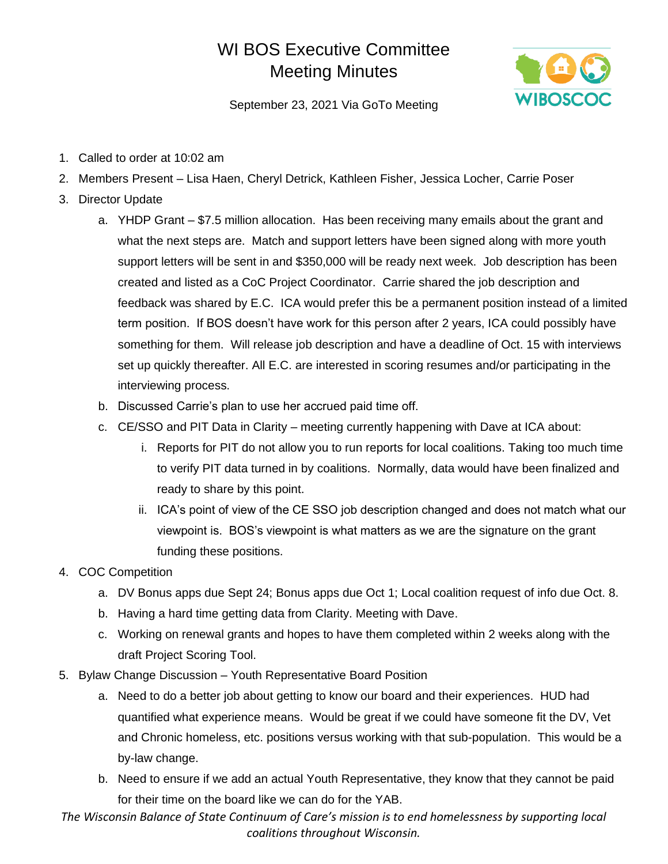## WI BOS Executive Committee Meeting Minutes



September 23, 2021 Via GoTo Meeting

- 1. Called to order at 10:02 am
- 2. Members Present Lisa Haen, Cheryl Detrick, Kathleen Fisher, Jessica Locher, Carrie Poser
- 3. Director Update
	- a. YHDP Grant \$7.5 million allocation. Has been receiving many emails about the grant and what the next steps are. Match and support letters have been signed along with more youth support letters will be sent in and \$350,000 will be ready next week. Job description has been created and listed as a CoC Project Coordinator. Carrie shared the job description and feedback was shared by E.C. ICA would prefer this be a permanent position instead of a limited term position. If BOS doesn't have work for this person after 2 years, ICA could possibly have something for them. Will release job description and have a deadline of Oct. 15 with interviews set up quickly thereafter. All E.C. are interested in scoring resumes and/or participating in the interviewing process.
	- b. Discussed Carrie's plan to use her accrued paid time off.
	- c. CE/SSO and PIT Data in Clarity meeting currently happening with Dave at ICA about:
		- i. Reports for PIT do not allow you to run reports for local coalitions. Taking too much time to verify PIT data turned in by coalitions. Normally, data would have been finalized and ready to share by this point.
		- ii. ICA's point of view of the CE SSO job description changed and does not match what our viewpoint is. BOS's viewpoint is what matters as we are the signature on the grant funding these positions.
- 4. COC Competition
	- a. DV Bonus apps due Sept 24; Bonus apps due Oct 1; Local coalition request of info due Oct. 8.
	- b. Having a hard time getting data from Clarity. Meeting with Dave.
	- c. Working on renewal grants and hopes to have them completed within 2 weeks along with the draft Project Scoring Tool.
- 5. Bylaw Change Discussion Youth Representative Board Position
	- a. Need to do a better job about getting to know our board and their experiences. HUD had quantified what experience means. Would be great if we could have someone fit the DV, Vet and Chronic homeless, etc. positions versus working with that sub-population. This would be a by-law change.
	- b. Need to ensure if we add an actual Youth Representative, they know that they cannot be paid for their time on the board like we can do for the YAB.

*The Wisconsin Balance of State Continuum of Care's mission is to end homelessness by supporting local coalitions throughout Wisconsin.*